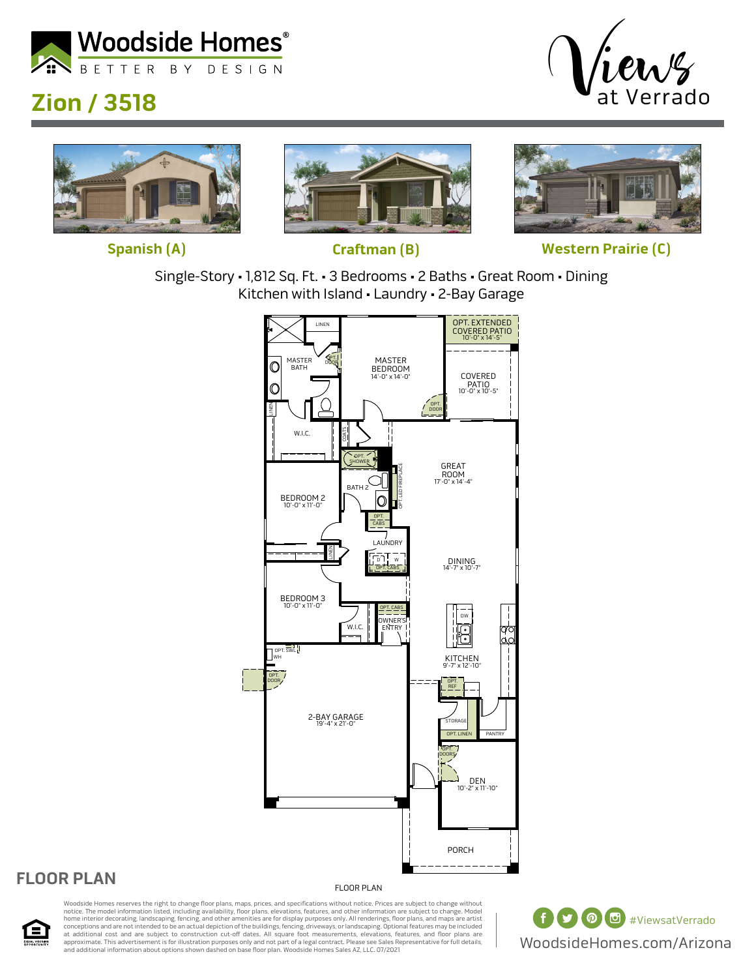

# **Zion / 3518**









**Spanish (A) Craftman (B) Western Prairie (C)**

Single-Story • 1,812 Sq. Ft. • 3 Bedrooms • 2 Baths • Great Room • Dining Kitchen with Island • Laundry • 2-Bay Garage



#### **FLOOR PLAN**

 $\blacksquare$ 

FLOOR PLAN

Woodside Homes reserves the right to change floor plans, maps, prices, and specifications without notice. Prices are subject to change without notice. The model information listed, including availability, floor plans, elevations, features, and other information are subject to change. Model<br>home interior decorating, landscaping, fencing, and other amenities are fo at additional cost and are subject to construction cut-off dates. All square foot measurements, elevations, features, and floor plans are<br>approximate. This advertisement is for illustration purposes only and not part of a